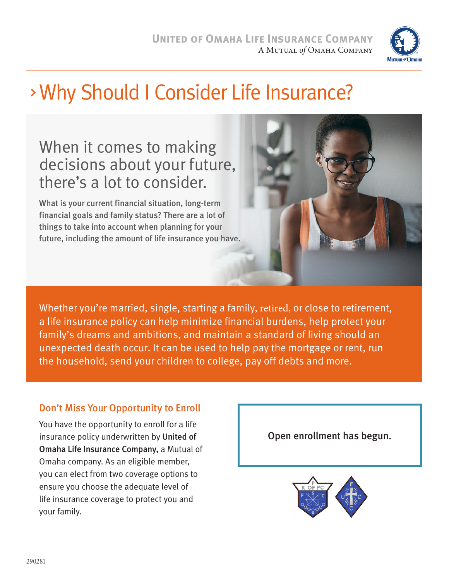

# Why Should I Consider Life Insurance?

## When it comes to making decisions about your future, there's a lot to consider.

What is your current financial situation, long-term financial goals and family status? There are a lot of things to take into account when planning for your future, including the amount of life insurance you have.



Whether you're married, single, starting a family, retired, or close to retirement, a life insurance policy can help minimize financial burdens, help protect your family's dreams and ambitions, and maintain a standard of living should an unexpected death occur. It can be used to help pay the mortgage or rent, run the household, send your children to college, pay off debts and more.

### Don't Miss Your Opportunity to Enroll

You have the opportunity to enroll for a life insurance policy underwritten by United of Omaha Life Insurance Company, a Mutual of Omaha company. As an eligible member, you can elect from two coverage options to ensure you choose the adequate level of life insurance coverage to protect you and your family.

Open enrollment has begun.